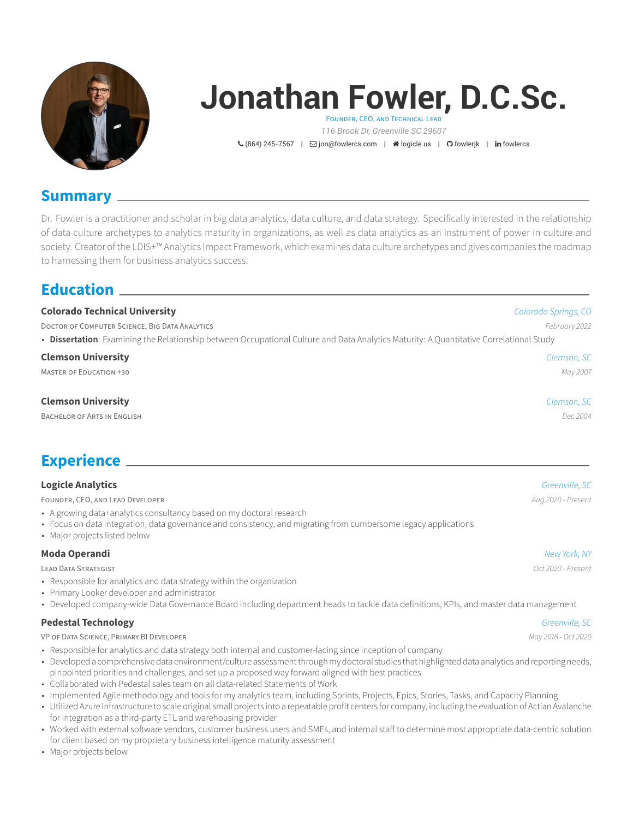

# **Jonathan Fowler, D.C.Sc.** FOUNDER, CEO, AND TECHNICAL LEAD

*116 Brook Dr, Greenville SC 29607*  $\left\langle \right\rangle$  (864) 245-7567 |  $\Box$  [jon@fowlercs.com](mailto:jon@fowlercs.com) |  $\bigcirc$  [logicle.us](http://logicle.us) |  $\bigcirc$  [fowlerjk](https://github.com/fowlerjk) | in [fowlercs](https://www.linkedin.com/in/fowlercs)

## **Summary**

Dr. Fowler is a practitioner and scholar in big data analytics, data culture, and data strategy. Specifically interested in the relationship of data culture archetypes to analytics maturity in organizations, as well as data analytics as an instrument of power in culture and society. Creator of the LDIS+<sup>™</sup> Analytics Impact Framework, which examines data culture archetypes and gives companies the roadmap to harnessing them for business analytics success.

## **Education**

| <b>Colorado Technical University</b>                                                                                                    | Colorado Springs, CO |
|-----------------------------------------------------------------------------------------------------------------------------------------|----------------------|
| DOCTOR OF COMPUTER SCIENCE, BIG DATA ANALYTICS                                                                                          | February 2022        |
| • Dissertation: Examining the Relationship between Occupational Culture and Data Analytics Maturity: A Quantitative Correlational Study |                      |
| <b>Clemson University</b>                                                                                                               | Clemson, SC          |
| <b>MASTER OF EDUCATION +30</b>                                                                                                          | May 2007             |
| <b>Clemson University</b>                                                                                                               | Clemson, SC          |
| BACHELOR OF ARTS IN ENGLISH                                                                                                             | Dec 2004             |
| <b>Experience</b>                                                                                                                       |                      |

### **Logicle Analytics** *Greenville, SC*

FOUNDER, CEO, AND LEAD DEVELOPER *Aug 2020 - Present*

- A growing data+analytics consultancy based on my doctoral research
- Focus on data integration, data governance and consistency, and migrating from cumbersome legacy applications
- Major projects listed below

#### **Moda Operandi** *New York, NY*

LEAD DATA STRATEGIST *Oct 2020 - Present*

- Responsible for analytics and data strategy within the organization
- Primary Looker developer and administrator
- Developed company-wide Data Governance Board including department heads to tackle data definitions, KPIs, and master data management

#### **Pedestal Technology** *Greenville, SC*

#### VP OF DATA SCIENCE, PRIMARY BI DEVELOPER *May 2018 - Oct 2020*

- Responsible for analytics and data strategy both internal and customer-facing since inception of company
- Developed a comprehensive data environment/culture assessment through my doctoral studies that highlighted data analytics and reporting needs, pinpointed priorities and challenges, and set up a proposed way forward aligned with best practices
- Collaborated with Pedestal sales team on all data-related Statements of Work
- Implemented Agile methodology and tools for my analytics team, including Sprints, Projects, Epics, Stories, Tasks, and Capacity Planning
- Utilized Azure infrastructure to scale original small projects into a repeatable profit centers for company, including the evaluation of Actian Avalanche for integration as a third-party ETL and warehousing provider
- Worked with external software vendors, customer business users and SMEs, and internal staff to determine most appropriate data-centric solution for client based on my proprietary business intelligence maturity assessment
- Major projects below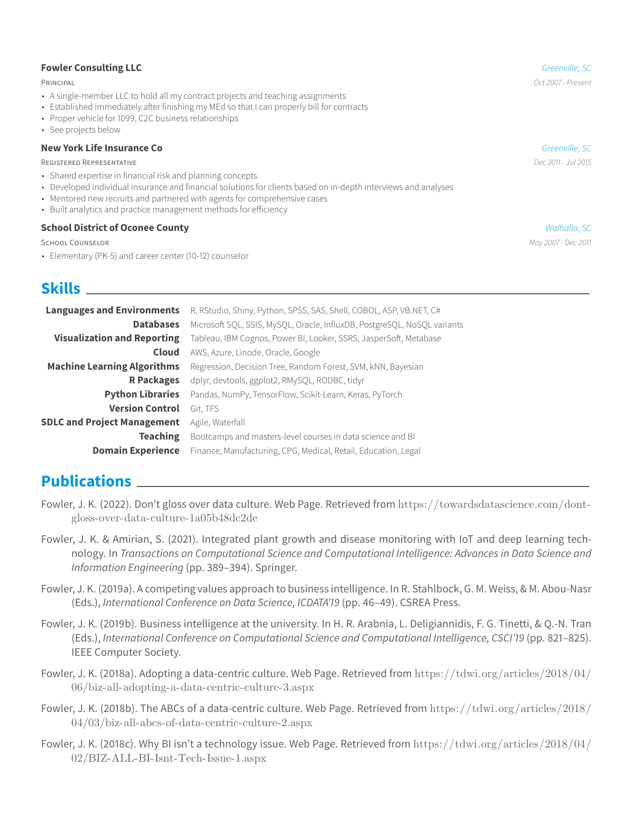#### **Fowler Consulting LLC** *Greenville, SC*

PRINCIPAL *Oct 2007 - Present*

- A single-member LLC to hold all my contract projects and teaching assignments
- Established immediately after finishing my MEd so that I can properly bill for contracts
- Proper vehicle for 1099, C2C business relationships
- See projects below

#### **New York Life Insurance Co** *Greenville, SC*

REGISTERED REPRESENTATIVE *Dec 2011 - Jul 2015*

- Shared expertise in financial risk and planning concepts
- Developed individual insurance and financial solutions for clients based on in-depth interviews and analyses
- Mentored new recruits and partnered with agents for comprehensive cases
- Built analytics and practice management methods for efficiency

#### **School District of Oconee County** *Walhalla, SC*

SCHOOL COUNSELOR *May 2007 - Dec 2011*

• Elementary (PK-5) and career center (10-12) counselor

## **Skills**

| <b>Languages and Environments</b>  | R, RStudio, Shiny, Python, SPSS, SAS, Shell, COBOL, ASP, VB.NET, C#      |
|------------------------------------|--------------------------------------------------------------------------|
| <b>Databases</b>                   | Microsoft SQL, SSIS, MySQL, Oracle, InfluxDB, PostgreSQL, NoSQL variants |
| <b>Visualization and Reporting</b> | Tableau, IBM Cognos, Power BI, Looker, SSRS, JasperSoft, Metabase        |
| <b>Cloud</b>                       | AWS, Azure, Linode, Oracle, Google                                       |
| <b>Machine Learning Algorithms</b> | Regression, Decision Tree, Random Forest, SVM, kNN, Bayesian             |
| <b>R</b> Packages                  | dplyr, devtools, ggplot2, RMySQL, RODBC, tidyr                           |
| <b>Python Libraries</b>            | Pandas, NumPy, TensorFlow, Scikit-Learn, Keras, PyTorch                  |
| <b>Version Control</b>             | Git, TFS                                                                 |
| <b>SDLC and Project Management</b> | Agile, Waterfall                                                         |
| <b>Teaching</b>                    | Bootcamps and masters-level courses in data science and BI               |
| <b>Domain Experience</b>           | Finance, Manufacturing, CPG, Medical, Retail, Education, Legal           |

## **Publications**

- Fowler, J. K. (2022). Don't gloss over data culture. Web Page. Retrieved from [https://towardsdatascience.com/dont](https://towardsdatascience.com/dont-gloss-over-data-culture-1a05b48dc2de)[gloss-over-data-culture-1a05b48dc2de](https://towardsdatascience.com/dont-gloss-over-data-culture-1a05b48dc2de)
- Fowler, J. K. & Amirian, S. (2021). Integrated plant growth and disease monitoring with IoT and deep learning technology. In *Transactions on Computational Science and Computational Intelligence: Advances in Data Science and Information Engineering* (pp. 389–394). Springer.
- Fowler, J. K. (2019a). A competing values approach to business intelligence. In R. Stahlbock, G. M. Weiss, & M. Abou-Nasr (Eds.), *International Conference on Data Science, ICDATA'19* (pp. 46–49). CSREA Press.
- Fowler, J. K. (2019b). Business intelligence at the university. In H. R. Arabnia, L. Deligiannidis, F. G. Tinetti, & Q.-N. Tran (Eds.), *International Conference on Computational Science and Computational Intelligence, CSCI'19* (pp. 821–825). IEEE Computer Society.
- Fowler, J. K. (2018a). Adopting a data-centric culture. Web Page. Retrieved from [https://tdwi.org/articles/2018/04/](https://tdwi.org/articles/2018/04/06/biz-all-adopting-a-data-centric-culture-3.aspx) [06/biz-all-adopting-a-data-centric-culture-3.aspx](https://tdwi.org/articles/2018/04/06/biz-all-adopting-a-data-centric-culture-3.aspx)
- Fowler, J. K. (2018b). The ABCs of a data-centric culture. Web Page. Retrieved from [https://tdwi.org/articles/2018/](https://tdwi.org/articles/2018/04/03/biz-all-abcs-of-data-centric-culture-2.aspx) [04/03/biz-all-abcs-of-data-centric-culture-2.aspx](https://tdwi.org/articles/2018/04/03/biz-all-abcs-of-data-centric-culture-2.aspx)
- Fowler, J. K. (2018c). Why BI isn't a technology issue. Web Page. Retrieved from [https://tdwi.org/articles/2018/04/](https://tdwi.org/articles/2018/04/02/BIZ-ALL-BI-Isnt-Tech-Issue-1.aspx) [02/BIZ-ALL-BI-Isnt-Tech-Issue-1.aspx](https://tdwi.org/articles/2018/04/02/BIZ-ALL-BI-Isnt-Tech-Issue-1.aspx)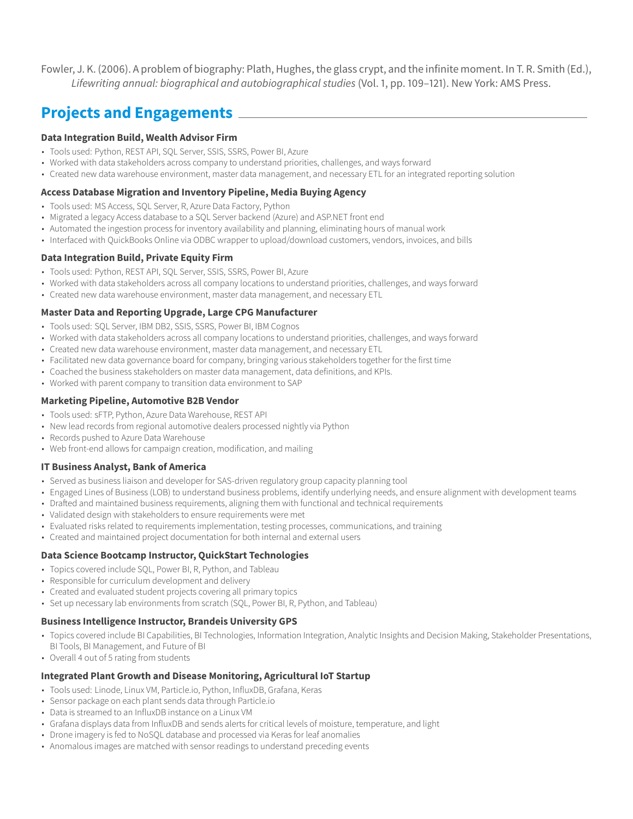Fowler, J. K. (2006). A problem of biography: Plath, Hughes, the glass crypt, and the infinite moment. In T. R. Smith (Ed.), *Lifewriting annual: biographical and autobiographical studies* (Vol. 1, pp. 109–121). New York: AMS Press.

## **Projects and Engagements**

#### **Data Integration Build, Wealth Advisor Firm**

- Tools used: Python, REST API, SQL Server, SSIS, SSRS, Power BI, Azure
- Worked with data stakeholders across company to understand priorities, challenges, and ways forward
- Created new data warehouse environment, master data management, and necessary ETL for an integrated reporting solution

#### **Access Database Migration and Inventory Pipeline, Media Buying Agency**

- Tools used: MS Access, SQL Server, R, Azure Data Factory, Python
- Migrated a legacy Access database to a SQL Server backend (Azure) and ASP.NET front end
- Automated the ingestion process for inventory availability and planning, eliminating hours of manual work
- Interfaced with QuickBooks Online via ODBC wrapper to upload/download customers, vendors, invoices, and bills

#### **Data Integration Build, Private Equity Firm**

- Tools used: Python, REST API, SQL Server, SSIS, SSRS, Power BI, Azure
- Worked with data stakeholders across all company locations to understand priorities, challenges, and ways forward
- Created new data warehouse environment, master data management, and necessary ETL

#### **Master Data and Reporting Upgrade, Large CPG Manufacturer**

- Tools used: SQL Server, IBM DB2, SSIS, SSRS, Power BI, IBM Cognos
- Worked with data stakeholders across all company locations to understand priorities, challenges, and ways forward
- Created new data warehouse environment, master data management, and necessary ETL
- Facilitated new data governance board for company, bringing various stakeholders together for the first time
- Coached the business stakeholders on master data management, data definitions, and KPIs.
- Worked with parent company to transition data environment to SAP

#### **Marketing Pipeline, Automotive B2B Vendor**

- Tools used: sFTP, Python, Azure Data Warehouse, REST API
- New lead records from regional automotive dealers processed nightly via Python
- Records pushed to Azure Data Warehouse
- Web front-end allows for campaign creation, modification, and mailing

#### **IT Business Analyst, Bank of America**

- Served as business liaison and developer for SAS-driven regulatory group capacity planning tool
- Engaged Lines of Business (LOB) to understand business problems, identify underlying needs, and ensure alignment with development teams
- Drafted and maintained business requirements, aligning them with functional and technical requirements
- Validated design with stakeholders to ensure requirements were met
- Evaluated risks related to requirements implementation, testing processes, communications, and training
- Created and maintained project documentation for both internal and external users

#### **Data Science Bootcamp Instructor, QuickStart Technologies**

- Topics covered include SQL, Power BI, R, Python, and Tableau
- Responsible for curriculum development and delivery
- Created and evaluated student projects covering all primary topics
- Set up necessary lab environments from scratch (SQL, Power BI, R, Python, and Tableau)

#### **Business Intelligence Instructor, Brandeis University GPS**

- Topics covered include BI Capabilities, BI Technologies, Information Integration, Analytic Insights and Decision Making, Stakeholder Presentations, BI Tools, BI Management, and Future of BI
- Overall 4 out of 5 rating from students

#### **Integrated Plant Growth and Disease Monitoring, Agricultural IoT Startup**

- Tools used: Linode, Linux VM, Particle.io, Python, InfluxDB, Grafana, Keras
- Sensor package on each plant sends data through Particle.io
- Data is streamed to an InfluxDB instance on a Linux VM
- Grafana displays data from InfluxDB and sends alerts for critical levels of moisture, temperature, and light
- Drone imagery is fed to NoSQL database and processed via Keras for leaf anomalies
- Anomalous images are matched with sensor readings to understand preceding events